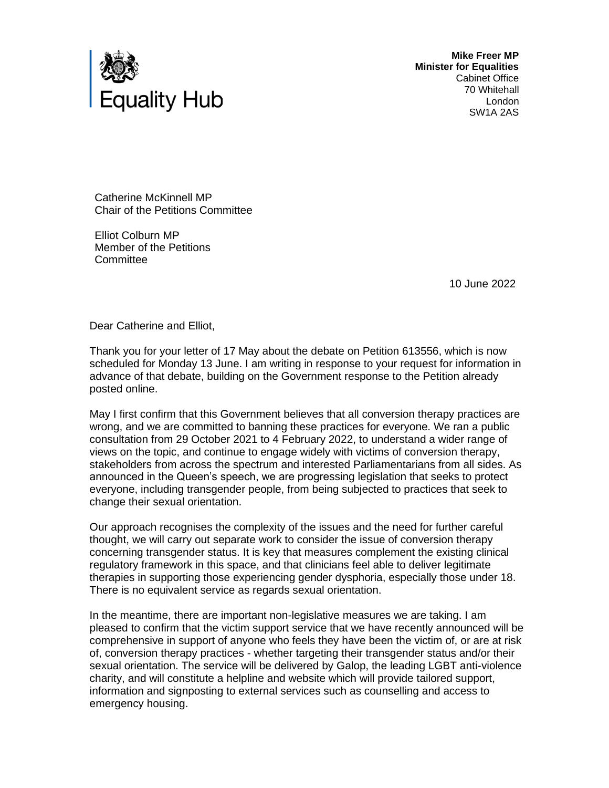

**Mike Freer MP Minister for Equalities** Cabinet Office 70 Whitehall London SW1A 2AS

Catherine McKinnell MP Chair of the Petitions Committee

Elliot Colburn MP Member of the Petitions **Committee** 

10 June 2022

Dear Catherine and Elliot,

Thank you for your letter of 17 May about the debate on Petition 613556, which is now scheduled for Monday 13 June. I am writing in response to your request for information in advance of that debate, building on the Government response to the Petition already posted online.

May I first confirm that this Government believes that all conversion therapy practices are wrong, and we are committed to banning these practices for everyone. We ran a public consultation from 29 October 2021 to 4 February 2022, to understand a wider range of views on the topic, and continue to engage widely with victims of conversion therapy, stakeholders from across the spectrum and interested Parliamentarians from all sides. As announced in the Queen's speech, we are progressing legislation that seeks to protect everyone, including transgender people, from being subjected to practices that seek to change their sexual orientation.

Our approach recognises the complexity of the issues and the need for further careful thought, we will carry out separate work to consider the issue of conversion therapy concerning transgender status. It is key that measures complement the existing clinical regulatory framework in this space, and that clinicians feel able to deliver legitimate therapies in supporting those experiencing gender dysphoria, especially those under 18. There is no equivalent service as regards sexual orientation.

In the meantime, there are important non-legislative measures we are taking. I am pleased to confirm that the victim support service that we have recently announced will be comprehensive in support of anyone who feels they have been the victim of, or are at risk of, conversion therapy practices - whether targeting their transgender status and/or their sexual orientation. The service will be delivered by Galop, the leading LGBT anti-violence charity, and will constitute a helpline and website which will provide tailored support, information and signposting to external services such as counselling and access to emergency housing.